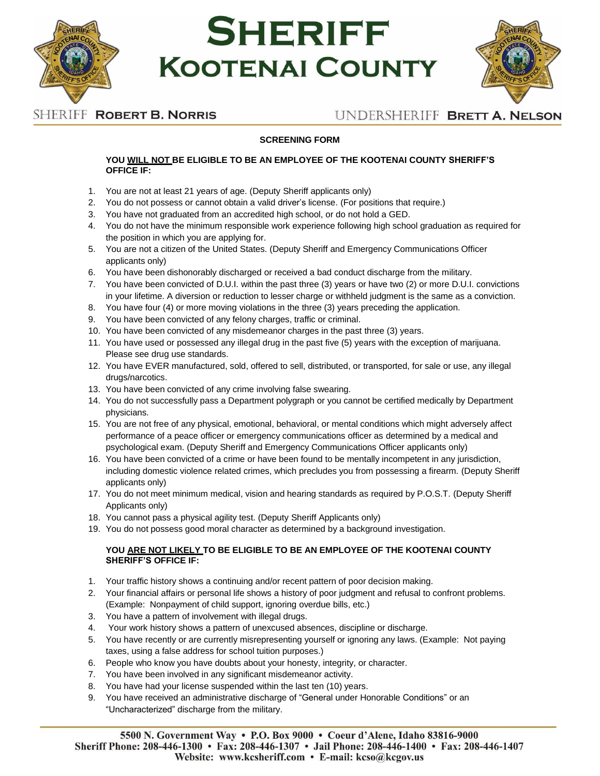

# **SHERIFF KOOTENAI COUNTY**



# SHERIFF ROBERT B. NORRIS

## UNDERSHERIFF BRETT A. NELSON

## **SCREENING FORM**

#### **YOU WILL NOT BE ELIGIBLE TO BE AN EMPLOYEE OF THE KOOTENAI COUNTY SHERIFF'S OFFICE IF:**

- 1. You are not at least 21 years of age. (Deputy Sheriff applicants only)
- 2. You do not possess or cannot obtain a valid driver's license. (For positions that require.)
- 3. You have not graduated from an accredited high school, or do not hold a GED.
- 4. You do not have the minimum responsible work experience following high school graduation as required for the position in which you are applying for.
- 5. You are not a citizen of the United States. (Deputy Sheriff and Emergency Communications Officer applicants only)
- 6. You have been dishonorably discharged or received a bad conduct discharge from the military.
- 7. You have been convicted of D.U.I. within the past three (3) years or have two (2) or more D.U.I. convictions in your lifetime. A diversion or reduction to lesser charge or withheld judgment is the same as a conviction.
- 8. You have four (4) or more moving violations in the three (3) years preceding the application.
- 9. You have been convicted of any felony charges, traffic or criminal.
- 10. You have been convicted of any misdemeanor charges in the past three (3) years.
- 11. You have used or possessed any illegal drug in the past five (5) years with the exception of marijuana. Please see drug use standards.
- 12. You have EVER manufactured, sold, offered to sell, distributed, or transported, for sale or use, any illegal drugs/narcotics.
- 13. You have been convicted of any crime involving false swearing.
- 14. You do not successfully pass a Department polygraph or you cannot be certified medically by Department physicians.
- 15. You are not free of any physical, emotional, behavioral, or mental conditions which might adversely affect performance of a peace officer or emergency communications officer as determined by a medical and psychological exam. (Deputy Sheriff and Emergency Communications Officer applicants only)
- 16. You have been convicted of a crime or have been found to be mentally incompetent in any jurisdiction, including domestic violence related crimes, which precludes you from possessing a firearm. (Deputy Sheriff applicants only)
- 17. You do not meet minimum medical, vision and hearing standards as required by P.O.S.T. (Deputy Sheriff Applicants only)
- 18. You cannot pass a physical agility test. (Deputy Sheriff Applicants only)
- 19. You do not possess good moral character as determined by a background investigation.

### **YOU ARE NOT LIKELY TO BE ELIGIBLE TO BE AN EMPLOYEE OF THE KOOTENAI COUNTY SHERIFF'S OFFICE IF:**

- 1. Your traffic history shows a continuing and/or recent pattern of poor decision making.
- 2. Your financial affairs or personal life shows a history of poor judgment and refusal to confront problems. (Example: Nonpayment of child support, ignoring overdue bills, etc.)
- 3. You have a pattern of involvement with illegal drugs.
- 4. Your work history shows a pattern of unexcused absences, discipline or discharge.
- 5. You have recently or are currently misrepresenting yourself or ignoring any laws. (Example: Not paying taxes, using a false address for school tuition purposes.)
- 6. People who know you have doubts about your honesty, integrity, or character.
- 7. You have been involved in any significant misdemeanor activity.
- 8. You have had your license suspended within the last ten (10) years.
- 9. You have received an administrative discharge of "General under Honorable Conditions" or an "Uncharacterized" discharge from the military.